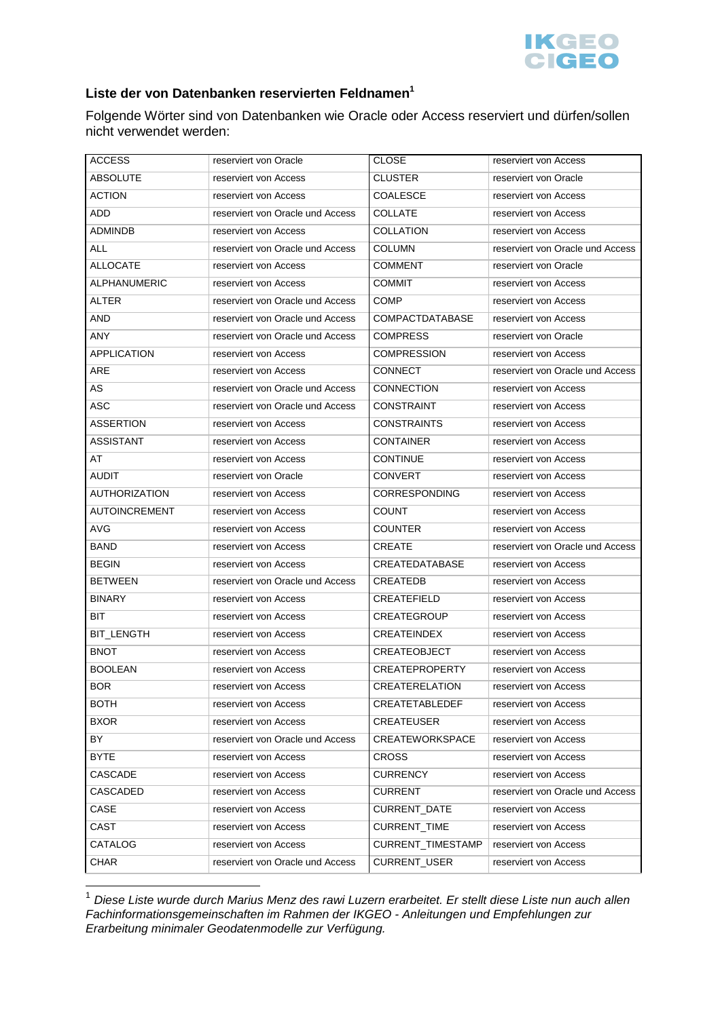

## **Liste der von Datenbanken reservierten Feldnamen<sup>1</sup>**

Folgende Wörter sind von Datenbanken wie Oracle oder Access reserviert und dürfen/sollen nicht verwendet werden:

| <b>ACCESS</b>        | reserviert von Oracle            | <b>CLOSE</b>           | reserviert von Access            |
|----------------------|----------------------------------|------------------------|----------------------------------|
| <b>ABSOLUTE</b>      | reserviert von Access            | <b>CLUSTER</b>         | reserviert von Oracle            |
| <b>ACTION</b>        | reserviert von Access            | <b>COALESCE</b>        | reserviert von Access            |
| ADD                  | reserviert von Oracle und Access | <b>COLLATE</b>         | reserviert von Access            |
| <b>ADMINDB</b>       | reserviert von Access            | <b>COLLATION</b>       | reserviert von Access            |
| <b>ALL</b>           | reserviert von Oracle und Access | <b>COLUMN</b>          | reserviert von Oracle und Access |
| <b>ALLOCATE</b>      | reserviert von Access            | COMMENT                | reserviert von Oracle            |
| <b>ALPHANUMERIC</b>  | reserviert von Access            | <b>COMMIT</b>          | reserviert von Access            |
| <b>ALTER</b>         | reserviert von Oracle und Access | <b>COMP</b>            | reserviert von Access            |
| <b>AND</b>           | reserviert von Oracle und Access | COMPACTDATABASE        | reserviert von Access            |
| ANY                  | reserviert von Oracle und Access | <b>COMPRESS</b>        | reserviert von Oracle            |
| <b>APPLICATION</b>   | reserviert von Access            | <b>COMPRESSION</b>     | reserviert von Access            |
| ARE                  | reserviert von Access            | <b>CONNECT</b>         | reserviert von Oracle und Access |
| AS                   | reserviert von Oracle und Access | <b>CONNECTION</b>      | reserviert von Access            |
| ASC                  | reserviert von Oracle und Access | <b>CONSTRAINT</b>      | reserviert von Access            |
| <b>ASSERTION</b>     | reserviert von Access            | <b>CONSTRAINTS</b>     | reserviert von Access            |
| <b>ASSISTANT</b>     | reserviert von Access            | <b>CONTAINER</b>       | reserviert von Access            |
| AT                   | reserviert von Access            | <b>CONTINUE</b>        | reserviert von Access            |
| <b>AUDIT</b>         | reserviert von Oracle            | CONVERT                | reserviert von Access            |
| <b>AUTHORIZATION</b> | reserviert von Access            | CORRESPONDING          | reserviert von Access            |
| <b>AUTOINCREMENT</b> | reserviert von Access            | <b>COUNT</b>           | reserviert von Access            |
| AVG                  | reserviert von Access            | COUNTER                | reserviert von Access            |
| <b>BAND</b>          | reserviert von Access            | <b>CREATE</b>          | reserviert von Oracle und Access |
| <b>BEGIN</b>         | reserviert von Access            | <b>CREATEDATABASE</b>  | reserviert von Access            |
| <b>BETWEEN</b>       | reserviert von Oracle und Access | CREATEDB               | reserviert von Access            |
| <b>BINARY</b>        | reserviert von Access            | CREATEFIELD            | reserviert von Access            |
| BIT.                 | reserviert von Access            | <b>CREATEGROUP</b>     | reserviert von Access            |
| <b>BIT LENGTH</b>    | reserviert von Access            | <b>CREATEINDEX</b>     | reserviert von Access            |
| <b>BNOT</b>          | reserviert von Access            | <b>CREATEOBJECT</b>    | reserviert von Access            |
| <b>BOOLEAN</b>       | reserviert von Access            | <b>CREATEPROPERTY</b>  | reserviert von Access            |
| <b>BOR</b>           | reserviert von Access            | <b>CREATERELATION</b>  | reserviert von Access            |
| <b>BOTH</b>          | reserviert von Access            | CREATETABLEDEF         | reserviert von Access            |
| <b>BXOR</b>          | reserviert von Access            | CREATEUSER             | reserviert von Access            |
| BY                   | reserviert von Oracle und Access | <b>CREATEWORKSPACE</b> | reserviert von Access            |
| <b>BYTE</b>          | reserviert von Access            | <b>CROSS</b>           | reserviert von Access            |
| <b>CASCADE</b>       | reserviert von Access            | <b>CURRENCY</b>        | reserviert von Access            |
| CASCADED             | reserviert von Access            | <b>CURRENT</b>         | reserviert von Oracle und Access |
| CASE                 | reserviert von Access            | CURRENT_DATE           | reserviert von Access            |
| CAST                 | reserviert von Access            | CURRENT_TIME           | reserviert von Access            |
| CATALOG              | reserviert von Access            | CURRENT_TIMESTAMP      | reserviert von Access            |
| <b>CHAR</b>          | reserviert von Oracle und Access | CURRENT_USER           | reserviert von Access            |

 $^1$  Diese Liste wurde durch Marius Menz des rawi Luzern erarbeitet. Er stellt diese Liste nun auch allen Fachinformationsgemeinschaften im Rahmen der IKGEO - Anleitungen und Empfehlungen zur Erarbeitung minimaler Geodatenmodelle zur Verfügung.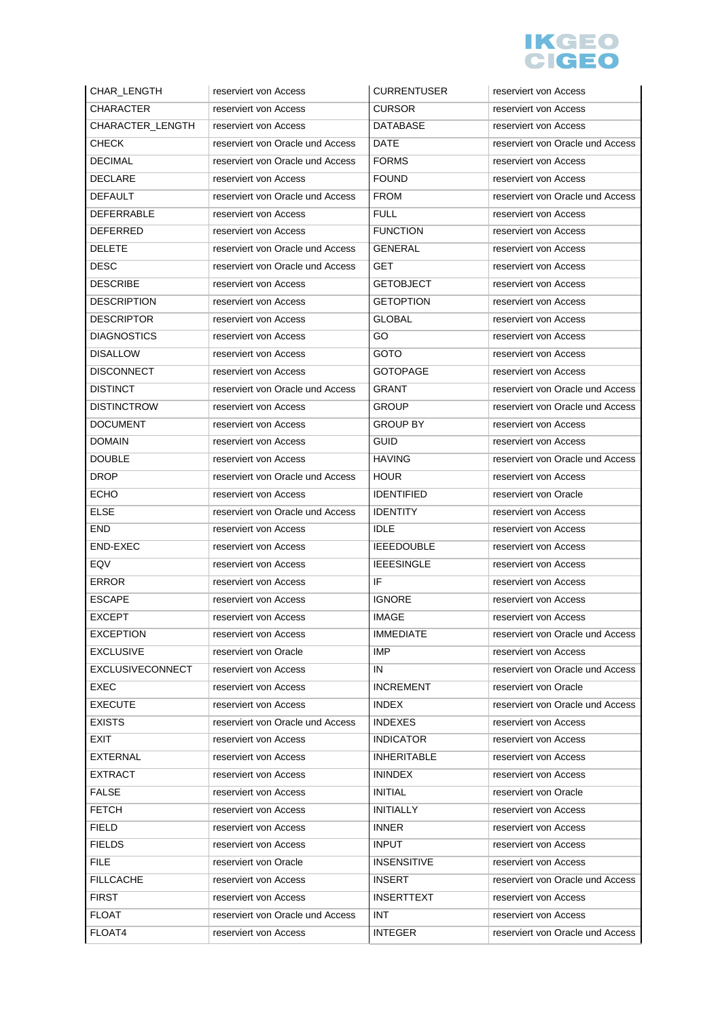

| CHAR_LENGTH             | reserviert von Access            | <b>CURRENTUSER</b> | reserviert von Access            |
|-------------------------|----------------------------------|--------------------|----------------------------------|
| <b>CHARACTER</b>        | reserviert von Access            | CURSOR             | reserviert von Access            |
| <b>CHARACTER LENGTH</b> | reserviert von Access            | <b>DATABASE</b>    | reserviert von Access            |
| <b>CHECK</b>            | reserviert von Oracle und Access | DATE               | reserviert von Oracle und Access |
| <b>DECIMAL</b>          | reserviert von Oracle und Access | <b>FORMS</b>       | reserviert von Access            |
| <b>DECLARE</b>          | reserviert von Access            | <b>FOUND</b>       | reserviert von Access            |
| <b>DEFAULT</b>          | reserviert von Oracle und Access | <b>FROM</b>        | reserviert von Oracle und Access |
| <b>DEFERRABLE</b>       | reserviert von Access            | <b>FULL</b>        | reserviert von Access            |
| <b>DEFERRED</b>         | reserviert von Access            | <b>FUNCTION</b>    | reserviert von Access            |
| <b>DELETE</b>           | reserviert von Oracle und Access | <b>GENERAL</b>     | reserviert von Access            |
| DESC                    | reserviert von Oracle und Access | GET                | reserviert von Access            |
| <b>DESCRIBE</b>         | reserviert von Access            | <b>GETOBJECT</b>   | reserviert von Access            |
| <b>DESCRIPTION</b>      | reserviert von Access            | <b>GETOPTION</b>   | reserviert von Access            |
| <b>DESCRIPTOR</b>       | reserviert von Access            | GLOBAL             | reserviert von Access            |
| <b>DIAGNOSTICS</b>      | reserviert von Access            | GO                 | reserviert von Access            |
| <b>DISALLOW</b>         | reserviert von Access            | <b>GOTO</b>        | reserviert von Access            |
| <b>DISCONNECT</b>       | reserviert von Access            | <b>GOTOPAGE</b>    | reserviert von Access            |
| <b>DISTINCT</b>         | reserviert von Oracle und Access | <b>GRANT</b>       | reserviert von Oracle und Access |
| <b>DISTINCTROW</b>      | reserviert von Access            | <b>GROUP</b>       | reserviert von Oracle und Access |
| <b>DOCUMENT</b>         | reserviert von Access            | GROUP BY           | reserviert von Access            |
| <b>DOMAIN</b>           | reserviert von Access            | GUID               | reserviert von Access            |
| <b>DOUBLE</b>           | reserviert von Access            | <b>HAVING</b>      | reserviert von Oracle und Access |
| DROP                    | reserviert von Oracle und Access | <b>HOUR</b>        | reserviert von Access            |
| <b>ECHO</b>             | reserviert von Access            | <b>IDENTIFIED</b>  | reserviert von Oracle            |
| <b>ELSE</b>             | reserviert von Oracle und Access | <b>IDENTITY</b>    | reserviert von Access            |
| <b>END</b>              | reserviert von Access            | <b>IDLE</b>        | reserviert von Access            |
| <b>END-EXEC</b>         | reserviert von Access            | <b>IEEEDOUBLE</b>  | reserviert von Access            |
| EQV                     | reserviert von Access            | <b>IEEESINGLE</b>  | reserviert von Access            |
| <b>ERROR</b>            | reserviert von Access            | IF                 | reserviert von Access            |
| <b>ESCAPE</b>           | reserviert von Access            | <b>IGNORE</b>      | reserviert von Access            |
| <b>EXCEPT</b>           | reserviert von Access            | <b>IMAGE</b>       | reserviert von Access            |
| <b>EXCEPTION</b>        | reserviert von Access            | <b>IMMEDIATE</b>   | reserviert von Oracle und Access |
| <b>EXCLUSIVE</b>        | reserviert von Oracle            | <b>IMP</b>         | reserviert von Access            |
| EXCLUSIVECONNECT        | reserviert von Access            | IN                 | reserviert von Oracle und Access |
| EXEC                    | reserviert von Access            | <b>INCREMENT</b>   | reserviert von Oracle            |
| <b>EXECUTE</b>          | reserviert von Access            | <b>INDEX</b>       | reserviert von Oracle und Access |
| <b>EXISTS</b>           | reserviert von Oracle und Access | <b>INDEXES</b>     | reserviert von Access            |
| <b>EXIT</b>             | reserviert von Access            | <b>INDICATOR</b>   | reserviert von Access            |
| <b>EXTERNAL</b>         | reserviert von Access            | <b>INHERITABLE</b> | reserviert von Access            |
| <b>EXTRACT</b>          | reserviert von Access            | <b>ININDEX</b>     | reserviert von Access            |
| <b>FALSE</b>            | reserviert von Access            | <b>INITIAL</b>     | reserviert von Oracle            |
| <b>FETCH</b>            | reserviert von Access            | <b>INITIALLY</b>   | reserviert von Access            |
| <b>FIELD</b>            | reserviert von Access            | <b>INNER</b>       | reserviert von Access            |
| <b>FIELDS</b>           | reserviert von Access            | <b>INPUT</b>       | reserviert von Access            |
| <b>FILE</b>             | reserviert von Oracle            | <b>INSENSITIVE</b> | reserviert von Access            |
| <b>FILLCACHE</b>        | reserviert von Access            | <b>INSERT</b>      | reserviert von Oracle und Access |
| <b>FIRST</b>            | reserviert von Access            | <b>INSERTTEXT</b>  | reserviert von Access            |
| <b>FLOAT</b>            | reserviert von Oracle und Access | INT                | reserviert von Access            |
| FLOAT4                  | reserviert von Access            | <b>INTEGER</b>     | reserviert von Oracle und Access |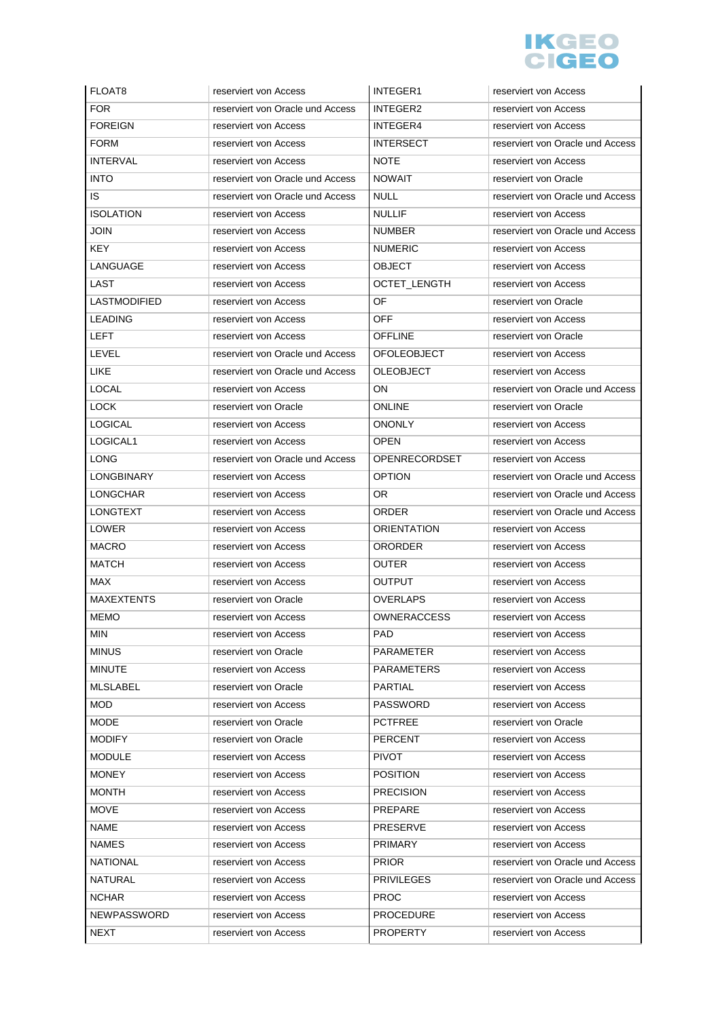

| FLOAT8                            | reserviert von Access                          | <b>INTEGER1</b>                     | reserviert von Access                          |
|-----------------------------------|------------------------------------------------|-------------------------------------|------------------------------------------------|
| <b>FOR</b>                        | reserviert von Oracle und Access               | INTEGER2                            | reserviert von Access                          |
| <b>FOREIGN</b>                    | reserviert von Access                          | INTEGER4                            | reserviert von Access                          |
| <b>FORM</b>                       | reserviert von Access                          | <b>INTERSECT</b>                    | reserviert von Oracle und Access               |
| <b>INTERVAL</b>                   | reserviert von Access                          | <b>NOTE</b>                         | reserviert von Access                          |
| <b>INTO</b>                       | reserviert von Oracle und Access               | <b>NOWAIT</b>                       | reserviert von Oracle                          |
| IS                                | reserviert von Oracle und Access               | <b>NULL</b>                         | reserviert von Oracle und Access               |
| <b>ISOLATION</b>                  | reserviert von Access                          | <b>NULLIF</b>                       | reserviert von Access                          |
| <b>JOIN</b>                       | reserviert von Access                          | <b>NUMBER</b>                       | reserviert von Oracle und Access               |
| KEY                               | reserviert von Access                          | <b>NUMERIC</b>                      | reserviert von Access                          |
| LANGUAGE                          | reserviert von Access                          | <b>OBJECT</b>                       | reserviert von Access                          |
| LAST                              | reserviert von Access                          | OCTET_LENGTH                        | reserviert von Access                          |
| LASTMODIFIED                      | reserviert von Access                          | OF                                  | reserviert von Oracle                          |
| <b>LEADING</b>                    | reserviert von Access                          | <b>OFF</b>                          | reserviert von Access                          |
| <b>LEFT</b>                       | reserviert von Access                          | <b>OFFLINE</b>                      | reserviert von Oracle                          |
| LEVEL                             | reserviert von Oracle und Access               | <b>OFOLEOBJECT</b>                  | reserviert von Access                          |
| LIKE                              | reserviert von Oracle und Access               | <b>OLEOBJECT</b>                    | reserviert von Access                          |
| LOCAL                             | reserviert von Access                          | ON                                  | reserviert von Oracle und Access               |
| <b>LOCK</b>                       | reserviert von Oracle                          | <b>ONLINE</b>                       | reserviert von Oracle                          |
| <b>LOGICAL</b>                    | reserviert von Access                          | ONONLY                              | reserviert von Access                          |
| LOGICAL1                          | reserviert von Access                          | OPEN                                | reserviert von Access                          |
| <b>LONG</b>                       | reserviert von Oracle und Access               | <b>OPENRECORDSET</b>                | reserviert von Access                          |
| LONGBINARY                        | reserviert von Access                          | <b>OPTION</b>                       | reserviert von Oracle und Access               |
| <b>LONGCHAR</b>                   | reserviert von Access                          | OR.                                 | reserviert von Oracle und Access               |
| <b>LONGTEXT</b>                   | reserviert von Access                          | <b>ORDER</b>                        | reserviert von Oracle und Access               |
|                                   |                                                |                                     |                                                |
| LOWER                             | reserviert von Access                          | <b>ORIENTATION</b>                  | reserviert von Access                          |
| <b>MACRO</b>                      | reserviert von Access                          | <b>ORORDER</b>                      | reserviert von Access                          |
| <b>MATCH</b>                      | reserviert von Access                          | <b>OUTER</b>                        | reserviert von Access                          |
| MAX                               | reserviert von Access                          | OUTPUT                              | reserviert von Access                          |
| <b>MAXEXTENTS</b>                 | reserviert von Oracle                          | <b>OVERLAPS</b>                     | reserviert von Access                          |
| <b>MEMO</b>                       | reserviert von Access                          | <b>OWNERACCESS</b>                  | reserviert von Access                          |
| <b>MIN</b>                        | reserviert von Access                          | PAD                                 | reserviert von Access                          |
| <b>MINUS</b>                      | reserviert von Oracle                          | PARAMETER                           | reserviert von Access                          |
| <b>MINUTE</b>                     | reserviert von Access                          | PARAMETERS                          | reserviert von Access                          |
| <b>MLSLABEL</b>                   | reserviert von Oracle                          | <b>PARTIAL</b>                      | reserviert von Access                          |
| <b>MOD</b>                        | reserviert von Access                          | PASSWORD                            | reserviert von Access                          |
| <b>MODE</b>                       | reserviert von Oracle                          | <b>PCTFREE</b>                      | reserviert von Oracle                          |
| <b>MODIFY</b>                     | reserviert von Oracle                          | <b>PERCENT</b>                      | reserviert von Access                          |
| <b>MODULE</b>                     | reserviert von Access                          | <b>PIVOT</b>                        | reserviert von Access                          |
| <b>MONEY</b>                      | reserviert von Access                          | <b>POSITION</b>                     | reserviert von Access                          |
| <b>MONTH</b>                      | reserviert von Access                          | <b>PRECISION</b>                    | reserviert von Access                          |
| <b>MOVE</b>                       | reserviert von Access                          | PREPARE                             | reserviert von Access                          |
| <b>NAME</b>                       | reserviert von Access                          | PRESERVE                            | reserviert von Access                          |
| <b>NAMES</b>                      | reserviert von Access                          | <b>PRIMARY</b>                      | reserviert von Access                          |
| <b>NATIONAL</b>                   | reserviert von Access                          | <b>PRIOR</b>                        | reserviert von Oracle und Access               |
| <b>NATURAL</b>                    | reserviert von Access                          | <b>PRIVILEGES</b>                   | reserviert von Oracle und Access               |
| <b>NCHAR</b>                      | reserviert von Access                          | <b>PROC</b>                         | reserviert von Access                          |
| <b>NEWPASSWORD</b><br><b>NEXT</b> | reserviert von Access<br>reserviert von Access | <b>PROCEDURE</b><br><b>PROPERTY</b> | reserviert von Access<br>reserviert von Access |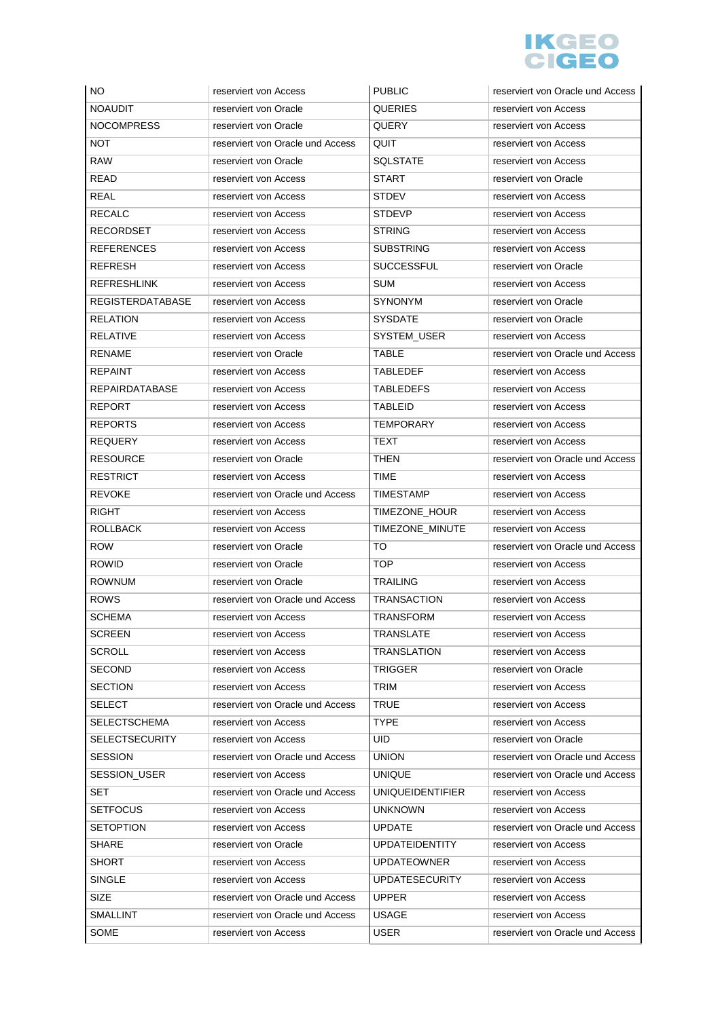

| NO.                     | reserviert von Access            | <b>PUBLIC</b>           | reserviert von Oracle und Access |
|-------------------------|----------------------------------|-------------------------|----------------------------------|
| <b>NOAUDIT</b>          | reserviert von Oracle            | <b>QUERIES</b>          | reserviert von Access            |
| <b>NOCOMPRESS</b>       | reserviert von Oracle            | <b>QUERY</b>            | reserviert von Access            |
| <b>NOT</b>              | reserviert von Oracle und Access | QUIT                    | reserviert von Access            |
| <b>RAW</b>              | reserviert von Oracle            | <b>SQLSTATE</b>         | reserviert von Access            |
| <b>READ</b>             | reserviert von Access            | <b>START</b>            | reserviert von Oracle            |
| REAL                    | reserviert von Access            | <b>STDEV</b>            | reserviert von Access            |
| <b>RECALC</b>           | reserviert von Access            | <b>STDEVP</b>           | reserviert von Access            |
| RECORDSET               | reserviert von Access            | <b>STRING</b>           | reserviert von Access            |
| <b>REFERENCES</b>       | reserviert von Access            | <b>SUBSTRING</b>        | reserviert von Access            |
| REFRESH                 | reserviert von Access            | <b>SUCCESSFUL</b>       | reserviert von Oracle            |
| <b>REFRESHLINK</b>      | reserviert von Access            | SUM                     | reserviert von Access            |
| <b>REGISTERDATABASE</b> | reserviert von Access            | <b>SYNONYM</b>          | reserviert von Oracle            |
| <b>RELATION</b>         | reserviert von Access            | <b>SYSDATE</b>          | reserviert von Oracle            |
| RELATIVE                | reserviert von Access            | SYSTEM_USER             | reserviert von Access            |
| <b>RENAME</b>           | reserviert von Oracle            | <b>TABLE</b>            | reserviert von Oracle und Access |
| REPAINT                 | reserviert von Access            | TABLEDEF                | reserviert von Access            |
| <b>REPAIRDATABASE</b>   | reserviert von Access            | <b>TABLEDEFS</b>        | reserviert von Access            |
| <b>REPORT</b>           | reserviert von Access            | <b>TABLEID</b>          | reserviert von Access            |
| <b>REPORTS</b>          | reserviert von Access            | <b>TEMPORARY</b>        | reserviert von Access            |
| <b>REQUERY</b>          | reserviert von Access            | TEXT                    | reserviert von Access            |
| <b>RESOURCE</b>         | reserviert von Oracle            | THEN                    | reserviert von Oracle und Access |
| <b>RESTRICT</b>         | reserviert von Access            | <b>TIME</b>             | reserviert von Access            |
| <b>REVOKE</b>           | reserviert von Oracle und Access | <b>TIMESTAMP</b>        | reserviert von Access            |
| RIGHT                   | reserviert von Access            | TIMEZONE_HOUR           | reserviert von Access            |
| <b>ROLLBACK</b>         | reserviert von Access            | TIMEZONE_MINUTE         | reserviert von Access            |
| <b>ROW</b>              | reserviert von Oracle            | TO                      | reserviert von Oracle und Access |
| <b>ROWID</b>            | reserviert von Oracle            | TOP                     | reserviert von Access            |
| <b>ROWNUM</b>           | reserviert von Oracle            | <b>TRAILING</b>         | reserviert von Access            |
| <b>ROWS</b>             | reserviert von Oracle und Access | <b>TRANSACTION</b>      | reserviert von Access            |
| <b>SCHEMA</b>           | reserviert von Access            | <b>TRANSFORM</b>        | reserviert von Access            |
| <b>SCREEN</b>           | reserviert von Access            | <b>TRANSLATE</b>        | reserviert von Access            |
| <b>SCROLL</b>           | reserviert von Access            | <b>TRANSLATION</b>      | reserviert von Access            |
| <b>SECOND</b>           | reserviert von Access            | TRIGGER                 | reserviert von Oracle            |
| <b>SECTION</b>          | reserviert von Access            | TRIM                    | reserviert von Access            |
| <b>SELECT</b>           | reserviert von Oracle und Access | TRUE                    | reserviert von Access            |
| <b>SELECTSCHEMA</b>     | reserviert von Access            | <b>TYPE</b>             | reserviert von Access            |
| <b>SELECTSECURITY</b>   | reserviert von Access            | <b>UID</b>              | reserviert von Oracle            |
| <b>SESSION</b>          | reserviert von Oracle und Access | <b>UNION</b>            | reserviert von Oracle und Access |
| SESSION_USER            | reserviert von Access            | <b>UNIQUE</b>           | reserviert von Oracle und Access |
| SET                     | reserviert von Oracle und Access | <b>UNIQUEIDENTIFIER</b> | reserviert von Access            |
| <b>SETFOCUS</b>         | reserviert von Access            | <b>UNKNOWN</b>          | reserviert von Access            |
| <b>SETOPTION</b>        | reserviert von Access            | <b>UPDATE</b>           | reserviert von Oracle und Access |
| SHARE                   | reserviert von Oracle            | <b>UPDATEIDENTITY</b>   | reserviert von Access            |
| <b>SHORT</b>            | reserviert von Access            | <b>UPDATEOWNER</b>      | reserviert von Access            |
| <b>SINGLE</b>           | reserviert von Access            | <b>UPDATESECURITY</b>   | reserviert von Access            |
| <b>SIZE</b>             | reserviert von Oracle und Access | <b>UPPER</b>            | reserviert von Access            |
| <b>SMALLINT</b>         | reserviert von Oracle und Access | <b>USAGE</b>            | reserviert von Access            |
| SOME                    | reserviert von Access            | <b>USER</b>             | reserviert von Oracle und Access |